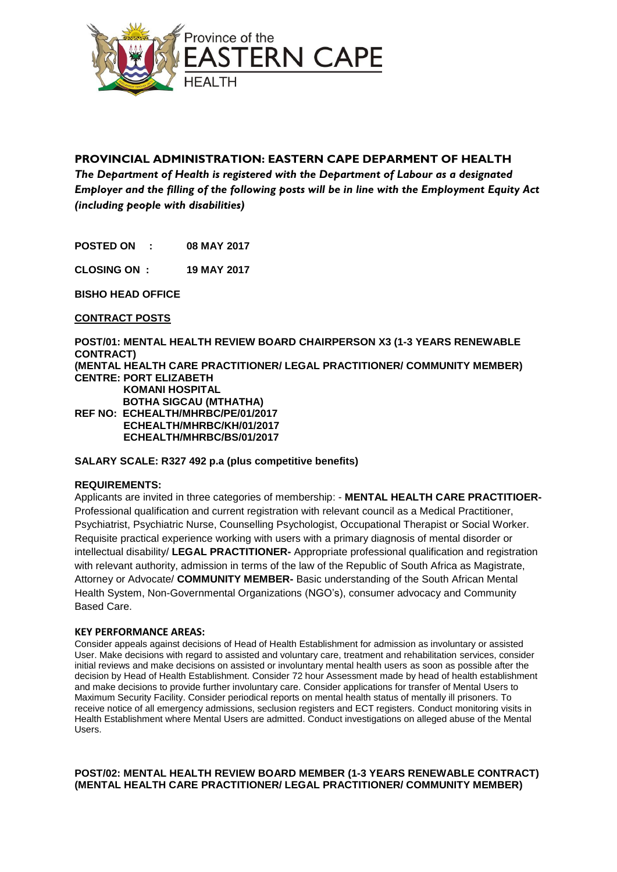

# **PROVINCIAL ADMINISTRATION: EASTERN CAPE DEPARMENT OF HEALTH**

*The Department of Health is registered with the Department of Labour as a designated Employer and the filling of the following posts will be in line with the Employment Equity Act (including people with disabilities)*

**POSTED ON : 08 MAY 2017**

**CLOSING ON : 19 MAY 2017**

**BISHO HEAD OFFICE**

**CONTRACT POSTS**

**POST/01: MENTAL HEALTH REVIEW BOARD CHAIRPERSON X3 (1-3 YEARS RENEWABLE CONTRACT) (MENTAL HEALTH CARE PRACTITIONER/ LEGAL PRACTITIONER/ COMMUNITY MEMBER) CENTRE: PORT ELIZABETH KOMANI HOSPITAL BOTHA SIGCAU (MTHATHA) REF NO: ECHEALTH/MHRBC/PE/01/2017 ECHEALTH/MHRBC/KH/01/2017 ECHEALTH/MHRBC/BS/01/2017**

## **SALARY SCALE: R327 492 p.a (plus competitive benefits)**

## **REQUIREMENTS:**

Applicants are invited in three categories of membership: - **MENTAL HEALTH CARE PRACTITIOER-**Professional qualification and current registration with relevant council as a Medical Practitioner, Psychiatrist, Psychiatric Nurse, Counselling Psychologist, Occupational Therapist or Social Worker. Requisite practical experience working with users with a primary diagnosis of mental disorder or intellectual disability/ **LEGAL PRACTITIONER-** Appropriate professional qualification and registration with relevant authority, admission in terms of the law of the Republic of South Africa as Magistrate, Attorney or Advocate/ **COMMUNITY MEMBER-** Basic understanding of the South African Mental Health System, Non-Governmental Organizations (NGO's), consumer advocacy and Community Based Care.

#### **KEY PERFORMANCE AREAS:**

Consider appeals against decisions of Head of Health Establishment for admission as involuntary or assisted User. Make decisions with regard to assisted and voluntary care, treatment and rehabilitation services, consider initial reviews and make decisions on assisted or involuntary mental health users as soon as possible after the decision by Head of Health Establishment. Consider 72 hour Assessment made by head of health establishment and make decisions to provide further involuntary care. Consider applications for transfer of Mental Users to Maximum Security Facility. Consider periodical reports on mental health status of mentally ill prisoners. To receive notice of all emergency admissions, seclusion registers and ECT registers. Conduct monitoring visits in Health Establishment where Mental Users are admitted. Conduct investigations on alleged abuse of the Mental Users.

# **POST/02: MENTAL HEALTH REVIEW BOARD MEMBER (1-3 YEARS RENEWABLE CONTRACT) (MENTAL HEALTH CARE PRACTITIONER/ LEGAL PRACTITIONER/ COMMUNITY MEMBER)**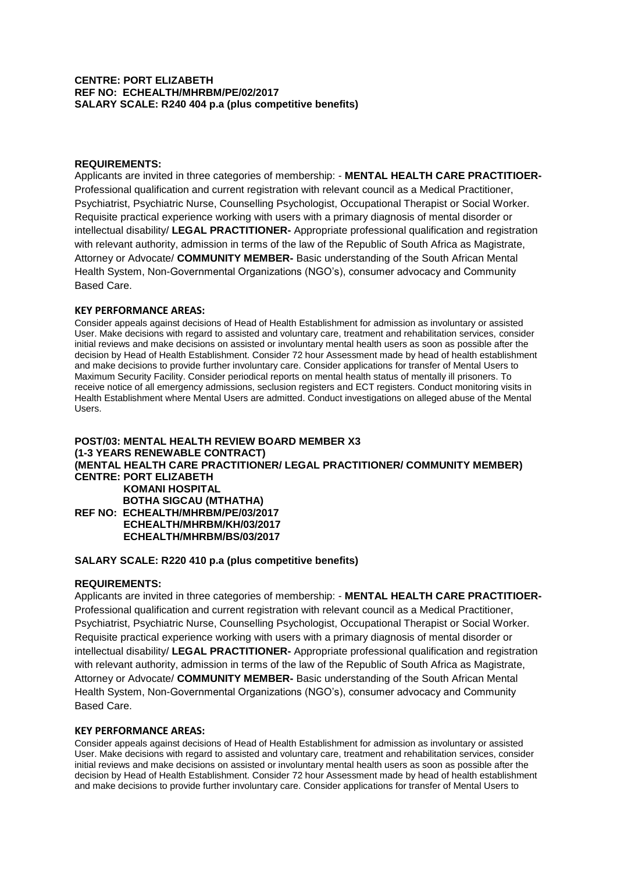### **CENTRE: PORT ELIZABETH REF NO: ECHEALTH/MHRBM/PE/02/2017 SALARY SCALE: R240 404 p.a (plus competitive benefits)**

### **REQUIREMENTS:**

Applicants are invited in three categories of membership: - **MENTAL HEALTH CARE PRACTITIOER-**Professional qualification and current registration with relevant council as a Medical Practitioner, Psychiatrist, Psychiatric Nurse, Counselling Psychologist, Occupational Therapist or Social Worker. Requisite practical experience working with users with a primary diagnosis of mental disorder or intellectual disability/ **LEGAL PRACTITIONER-** Appropriate professional qualification and registration with relevant authority, admission in terms of the law of the Republic of South Africa as Magistrate, Attorney or Advocate/ **COMMUNITY MEMBER-** Basic understanding of the South African Mental Health System, Non-Governmental Organizations (NGO's), consumer advocacy and Community Based Care.

#### **KEY PERFORMANCE AREAS:**

Consider appeals against decisions of Head of Health Establishment for admission as involuntary or assisted User. Make decisions with regard to assisted and voluntary care, treatment and rehabilitation services, consider initial reviews and make decisions on assisted or involuntary mental health users as soon as possible after the decision by Head of Health Establishment. Consider 72 hour Assessment made by head of health establishment and make decisions to provide further involuntary care. Consider applications for transfer of Mental Users to Maximum Security Facility. Consider periodical reports on mental health status of mentally ill prisoners. To receive notice of all emergency admissions, seclusion registers and ECT registers. Conduct monitoring visits in Health Establishment where Mental Users are admitted. Conduct investigations on alleged abuse of the Mental Users.

# **POST/03: MENTAL HEALTH REVIEW BOARD MEMBER X3 (1-3 YEARS RENEWABLE CONTRACT) (MENTAL HEALTH CARE PRACTITIONER/ LEGAL PRACTITIONER/ COMMUNITY MEMBER) CENTRE: PORT ELIZABETH KOMANI HOSPITAL BOTHA SIGCAU (MTHATHA) REF NO: ECHEALTH/MHRBM/PE/03/2017 ECHEALTH/MHRBM/KH/03/2017 ECHEALTH/MHRBM/BS/03/2017**

### **SALARY SCALE: R220 410 p.a (plus competitive benefits)**

## **REQUIREMENTS:**

Applicants are invited in three categories of membership: - **MENTAL HEALTH CARE PRACTITIOER-**Professional qualification and current registration with relevant council as a Medical Practitioner, Psychiatrist, Psychiatric Nurse, Counselling Psychologist, Occupational Therapist or Social Worker. Requisite practical experience working with users with a primary diagnosis of mental disorder or intellectual disability/ **LEGAL PRACTITIONER-** Appropriate professional qualification and registration with relevant authority, admission in terms of the law of the Republic of South Africa as Magistrate, Attorney or Advocate/ **COMMUNITY MEMBER-** Basic understanding of the South African Mental Health System, Non-Governmental Organizations (NGO's), consumer advocacy and Community Based Care.

### **KEY PERFORMANCE AREAS:**

Consider appeals against decisions of Head of Health Establishment for admission as involuntary or assisted User. Make decisions with regard to assisted and voluntary care, treatment and rehabilitation services, consider initial reviews and make decisions on assisted or involuntary mental health users as soon as possible after the decision by Head of Health Establishment. Consider 72 hour Assessment made by head of health establishment and make decisions to provide further involuntary care. Consider applications for transfer of Mental Users to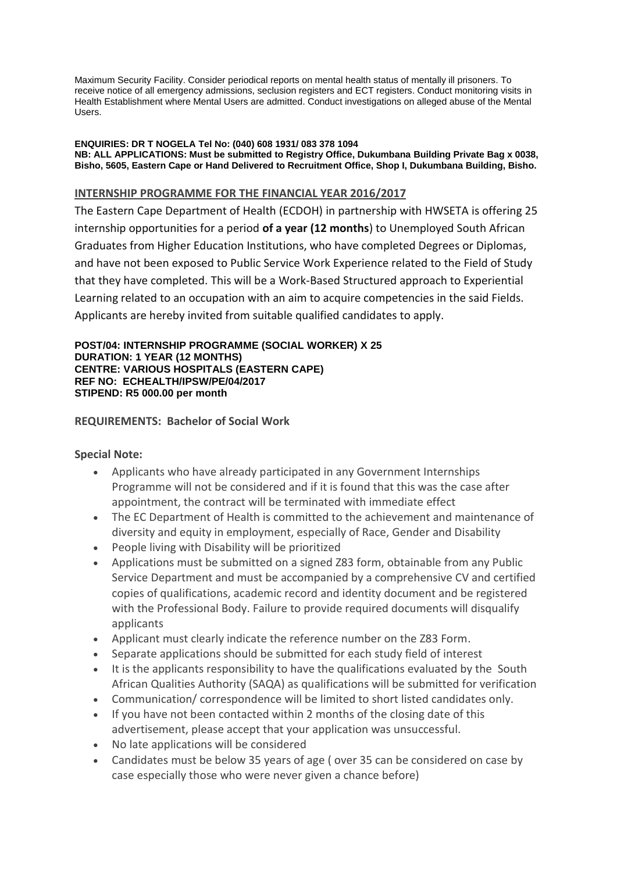Maximum Security Facility. Consider periodical reports on mental health status of mentally ill prisoners. To receive notice of all emergency admissions, seclusion registers and ECT registers. Conduct monitoring visits in Health Establishment where Mental Users are admitted. Conduct investigations on alleged abuse of the Mental Users.

#### **ENQUIRIES: DR T NOGELA Tel No: (040) 608 1931/ 083 378 1094 NB: ALL APPLICATIONS: Must be submitted to Registry Office, Dukumbana Building Private Bag x 0038, Bisho, 5605, Eastern Cape or Hand Delivered to Recruitment Office, Shop I, Dukumbana Building, Bisho.**

# **INTERNSHIP PROGRAMME FOR THE FINANCIAL YEAR 2016/2017**

The Eastern Cape Department of Health (ECDOH) in partnership with HWSETA is offering 25 internship opportunities for a period **of a year (12 months**) to Unemployed South African Graduates from Higher Education Institutions, who have completed Degrees or Diplomas, and have not been exposed to Public Service Work Experience related to the Field of Study that they have completed. This will be a Work-Based Structured approach to Experiential Learning related to an occupation with an aim to acquire competencies in the said Fields. Applicants are hereby invited from suitable qualified candidates to apply.

### **POST/04: INTERNSHIP PROGRAMME (SOCIAL WORKER) X 25 DURATION: 1 YEAR (12 MONTHS) CENTRE: VARIOUS HOSPITALS (EASTERN CAPE) REF NO: ECHEALTH/IPSW/PE/04/2017 STIPEND: R5 000.00 per month**

# **REQUIREMENTS: Bachelor of Social Work**

# **Special Note:**

- Applicants who have already participated in any Government Internships Programme will not be considered and if it is found that this was the case after appointment, the contract will be terminated with immediate effect
- The EC Department of Health is committed to the achievement and maintenance of diversity and equity in employment, especially of Race, Gender and Disability
- People living with Disability will be prioritized
- Applications must be submitted on a signed Z83 form, obtainable from any Public Service Department and must be accompanied by a comprehensive CV and certified copies of qualifications, academic record and identity document and be registered with the Professional Body. Failure to provide required documents will disqualify applicants
- Applicant must clearly indicate the reference number on the Z83 Form.
- Separate applications should be submitted for each study field of interest
- It is the applicants responsibility to have the qualifications evaluated by the South African Qualities Authority (SAQA) as qualifications will be submitted for verification
- Communication/ correspondence will be limited to short listed candidates only.
- If you have not been contacted within 2 months of the closing date of this advertisement, please accept that your application was unsuccessful.
- No late applications will be considered
- Candidates must be below 35 years of age ( over 35 can be considered on case by case especially those who were never given a chance before)